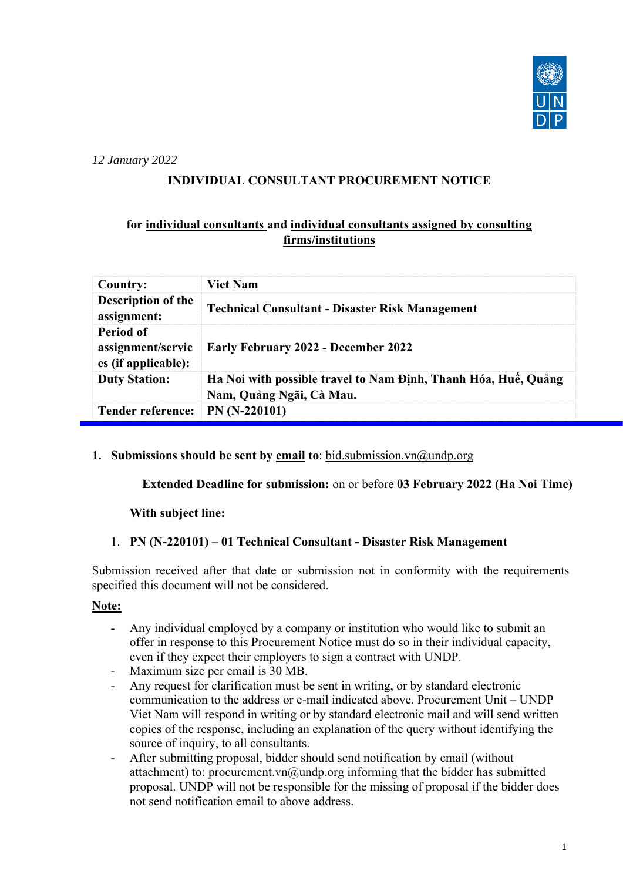

*12 January 2022*

## **INDIVIDUAL CONSULTANT PROCUREMENT NOTICE**

## **for individual consultants and individual consultants assigned by consulting firms/institutions**

| <b>Country:</b>                                       | <b>Viet Nam</b>                                                                            |
|-------------------------------------------------------|--------------------------------------------------------------------------------------------|
| Description of the<br>assignment:                     | <b>Technical Consultant - Disaster Risk Management</b>                                     |
| Period of<br>assignment/servic<br>es (if applicable): | <b>Early February 2022 - December 2022</b>                                                 |
| <b>Duty Station:</b>                                  | Ha Noi with possible travel to Nam Định, Thanh Hóa, Huế, Quảng<br>Nam, Quảng Ngãi, Cà Mau. |
| <b>Tender reference:</b>                              | $PN(N-220101)$                                                                             |

#### **1. Submissions should be sent by email to**: [bid.submission.vn@undp.org](mailto:bid.submission.vn@undp.org)

 **Extended Deadline for submission:** on or before **03 February 2022 (Ha Noi Time)** 

#### **With subject line:**

#### 1. **PN (N-220101) – 01 Technical Consultant - Disaster Risk Management**

Submission received after that date or submission not in conformity with the requirements specified this document will not be considered.

## **Note:**

- Any individual employed by a company or institution who would like to submit an offer in response to this Procurement Notice must do so in their individual capacity, even if they expect their employers to sign a contract with UNDP.
- Maximum size per email is 30 MB.
- Any request for clarification must be sent in writing, or by standard electronic communication to the address or e-mail indicated above. Procurement Unit – UNDP Viet Nam will respond in writing or by standard electronic mail and will send written copies of the response, including an explanation of the query without identifying the source of inquiry, to all consultants.
- After submitting proposal, bidder should send notification by email (without attachment) to: [procurement.vn@undp.org](mailto:procurement.vn@undp.org) informing that the bidder has submitted proposal. UNDP will not be responsible for the missing of proposal if the bidder does not send notification email to above address.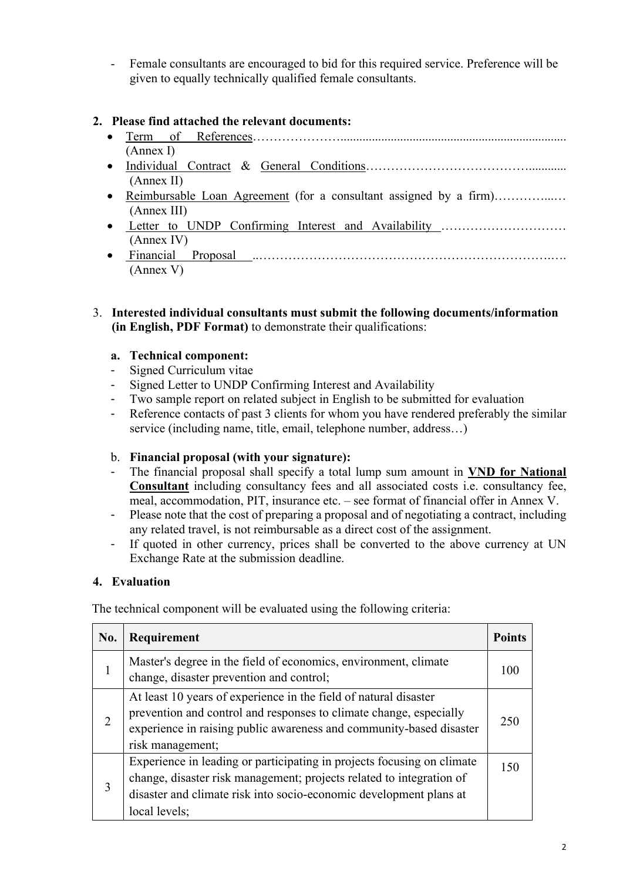- Female consultants are encouraged to bid for this required service. Preference will be given to equally technically qualified female consultants.

## **2. Please find attached the relevant documents:**

- Term of References…………………........................................................................ (Annex I)
- [Individual Contract](http://www.undp.org/content/dam/vietnam/docs/Legalframework/31612_Individual_contract.pdf) & [General Conditions…](http://www.undp.org/content/dam/vietnam/docs/Legalframework/31613_General_Conditions_-_IC.pdf)………………………………............ (Annex II)
- [Reimbursable Loan Agreement](http://www.vn.undp.org/content/dam/vietnam/docs/Legalframework/Reimbursable%20Loan%20Agreement%20formated.pdf) (for a consultant assigned by a firm)…………...… (Annex III)
- Letter to UNDP Confirming Interest and Availability ……………………………………………………………………… (Annex IV)
- [Financial Proposal .](#page-16-0).…………………………………………………………….…. (Annex V)

#### 3. **Interested individual consultants must submit the following documents/information (in English, PDF Format)** to demonstrate their qualifications:

#### **a. Technical component:**

- Signed Curriculum vitae
- Signed Letter to UNDP Confirming Interest and Availability
- Two sample report on related subject in English to be submitted for evaluation
- Reference contacts of past 3 clients for whom you have rendered preferably the similar service (including name, title, email, telephone number, address…)

#### b. **Financial proposal (with your signature):**

- The financial proposal shall specify a total lump sum amount in **VND for National Consultant** including consultancy fees and all associated costs i.e. consultancy fee, meal, accommodation, PIT, insurance etc. – see format of financial offer in Annex V.
- Please note that the cost of preparing a proposal and of negotiating a contract, including any related travel, is not reimbursable as a direct cost of the assignment.
- If quoted in other currency, prices shall be converted to the above currency at UN Exchange Rate at the submission deadline.

#### **4. Evaluation**

The technical component will be evaluated using the following criteria:

| No.            | Requirement                                                                                                                                                                                                                           | <b>Points</b> |
|----------------|---------------------------------------------------------------------------------------------------------------------------------------------------------------------------------------------------------------------------------------|---------------|
| 1              | Master's degree in the field of economics, environment, climate<br>change, disaster prevention and control;                                                                                                                           | 100           |
| $\overline{2}$ | At least 10 years of experience in the field of natural disaster<br>prevention and control and responses to climate change, especially<br>experience in raising public awareness and community-based disaster<br>risk management;     | 250           |
| 3              | Experience in leading or participating in projects focusing on climate<br>change, disaster risk management; projects related to integration of<br>disaster and climate risk into socio-economic development plans at<br>local levels; | 150           |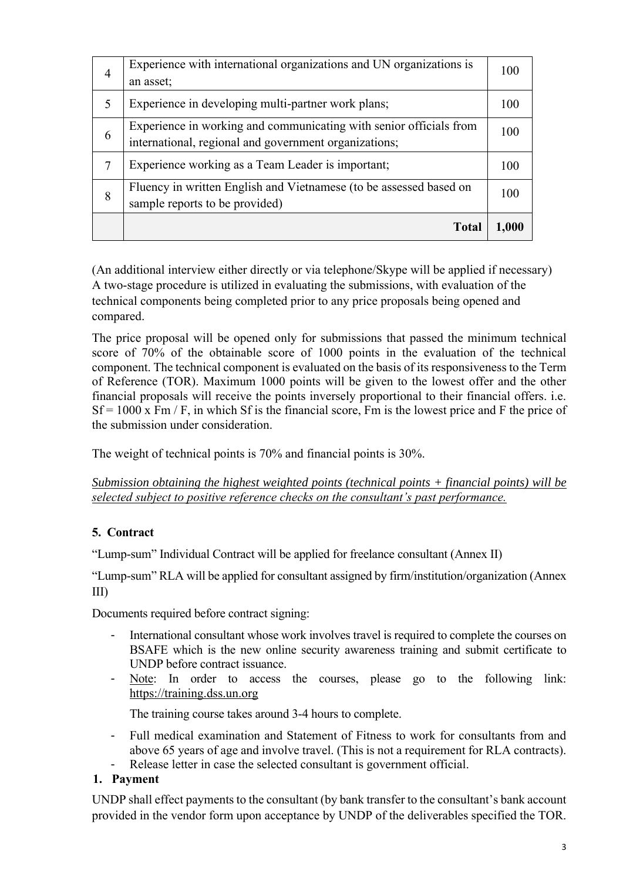| 4 | Experience with international organizations and UN organizations is<br>an asset;                                            | 100   |
|---|-----------------------------------------------------------------------------------------------------------------------------|-------|
| 5 | Experience in developing multi-partner work plans;                                                                          | 100   |
| 6 | Experience in working and communicating with senior officials from<br>international, regional and government organizations; | 100   |
| 7 | Experience working as a Team Leader is important;                                                                           | 100   |
| 8 | Fluency in written English and Vietnamese (to be assessed based on<br>sample reports to be provided)                        | 100   |
|   | Tota                                                                                                                        | 1,000 |

(An additional interview either directly or via telephone/Skype will be applied if necessary) A two-stage procedure is utilized in evaluating the submissions, with evaluation of the technical components being completed prior to any price proposals being opened and compared.

The price proposal will be opened only for submissions that passed the minimum technical score of 70% of the obtainable score of 1000 points in the evaluation of the technical component. The technical component is evaluated on the basis of its responsiveness to the Term of Reference (TOR). Maximum 1000 points will be given to the lowest offer and the other financial proposals will receive the points inversely proportional to their financial offers. i.e.  $Sf = 1000 \text{ x Fm / F}$ , in which Sf is the financial score, Fm is the lowest price and F the price of the submission under consideration.

The weight of technical points is 70% and financial points is 30%.

*Submission obtaining the highest weighted points (technical points + financial points) will be selected subject to positive reference checks on the consultant's past performance.* 

## **5. Contract**

"Lump-sum" Individual Contract will be applied for freelance consultant (Annex II)

"Lump-sum" RLA will be applied for consultant assigned by firm/institution/organization (Annex III)

Documents required before contract signing:

- International consultant whose work involves travel is required to complete the courses on BSAFE which is the new online security awareness training and submit certificate to UNDP before contract issuance.
- Note: In order to access the courses, please go to the following link: [https://training.dss.un.org](https://training.dss.un.org/)

The training course takes around 3-4 hours to complete.

- Full medical examination and Statement of Fitness to work for consultants from and above 65 years of age and involve travel. (This is not a requirement for RLA contracts).
- Release letter in case the selected consultant is government official.
- **1. Payment**

UNDP shall effect payments to the consultant (by bank transfer to the consultant's bank account provided in the vendor form upon acceptance by UNDP of the deliverables specified the TOR.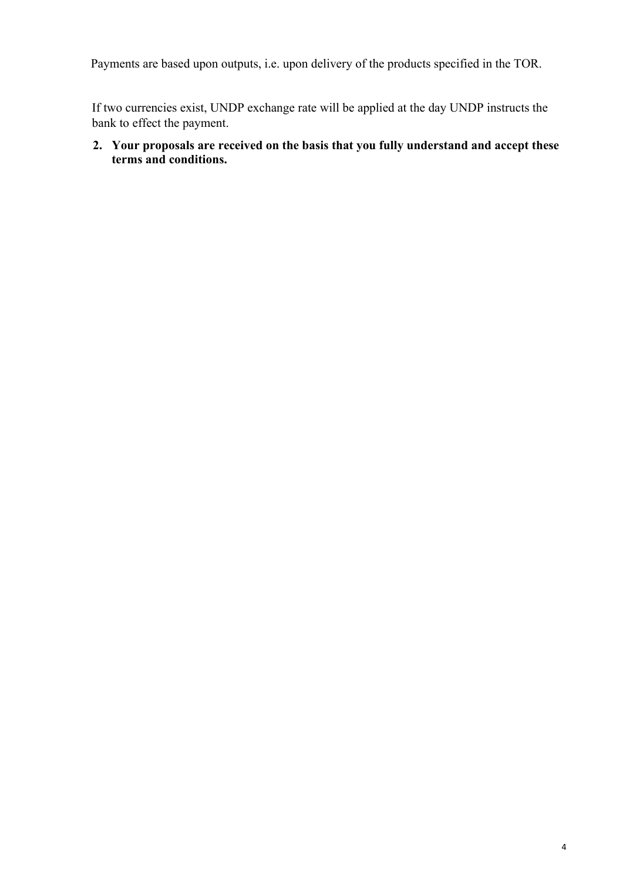Payments are based upon outputs, i.e. upon delivery of the products specified in the TOR.

If two currencies exist, UNDP exchange rate will be applied at the day UNDP instructs the bank to effect the payment.

## **2. Your proposals are received on the basis that you fully understand and accept these terms and conditions.**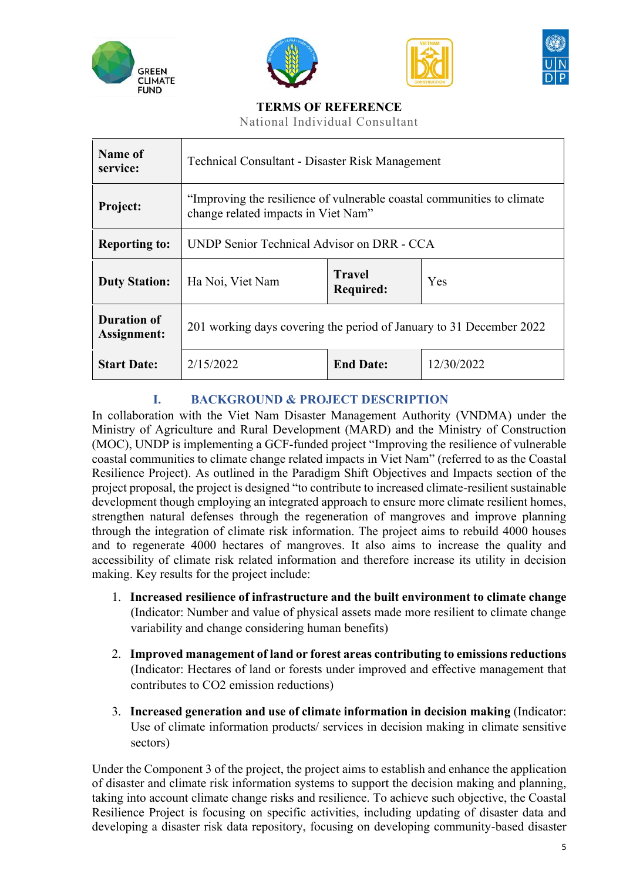







## **TERMS OF REFERENCE**

National Individual Consultant

| Name of<br>service:               | <b>Technical Consultant - Disaster Risk Management</b>                                                        |  |  |
|-----------------------------------|---------------------------------------------------------------------------------------------------------------|--|--|
| Project:                          | "Improving the resilience of vulnerable coastal communities to climate<br>change related impacts in Viet Nam" |  |  |
| <b>Reporting to:</b>              | UNDP Senior Technical Advisor on DRR - CCA                                                                    |  |  |
| <b>Duty Station:</b>              | <b>Travel</b><br>Yes<br>Ha Noi, Viet Nam<br><b>Required:</b>                                                  |  |  |
| <b>Duration of</b><br>Assignment: | 201 working days covering the period of January to 31 December 2022                                           |  |  |
| <b>Start Date:</b>                | 2/15/2022<br>12/30/2022<br><b>End Date:</b>                                                                   |  |  |

## **I. BACKGROUND & PROJECT DESCRIPTION**

In collaboration with the Viet Nam Disaster Management Authority (VNDMA) under the Ministry of Agriculture and Rural Development (MARD) and the Ministry of Construction (MOC), UNDP is implementing a GCF-funded project "Improving the resilience of vulnerable coastal communities to climate change related impacts in Viet Nam" (referred to as the Coastal Resilience Project). As outlined in the Paradigm Shift Objectives and Impacts section of the project proposal, the project is designed "to contribute to increased climate-resilient sustainable development though employing an integrated approach to ensure more climate resilient homes, strengthen natural defenses through the regeneration of mangroves and improve planning through the integration of climate risk information. The project aims to rebuild 4000 houses and to regenerate 4000 hectares of mangroves. It also aims to increase the quality and accessibility of climate risk related information and therefore increase its utility in decision making. Key results for the project include:

- 1. **Increased resilience of infrastructure and the built environment to climate change**  (Indicator: Number and value of physical assets made more resilient to climate change variability and change considering human benefits)
- 2. **Improved management of land or forest areas contributing to emissions reductions**  (Indicator: Hectares of land or forests under improved and effective management that contributes to CO2 emission reductions)
- 3. **Increased generation and use of climate information in decision making** (Indicator: Use of climate information products/ services in decision making in climate sensitive sectors)

Under the Component 3 of the project, the project aims to establish and enhance the application of disaster and climate risk information systems to support the decision making and planning, taking into account climate change risks and resilience. To achieve such objective, the Coastal Resilience Project is focusing on specific activities, including updating of disaster data and developing a disaster risk data repository, focusing on developing community-based disaster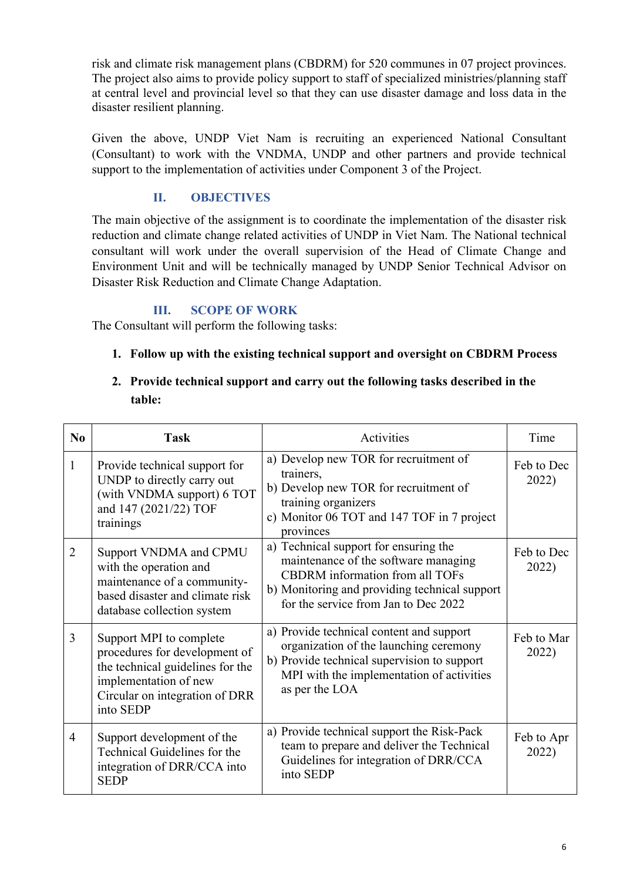risk and climate risk management plans (CBDRM) for 520 communes in 07 project provinces. The project also aims to provide policy support to staff of specialized ministries/planning staff at central level and provincial level so that they can use disaster damage and loss data in the disaster resilient planning.

Given the above, UNDP Viet Nam is recruiting an experienced National Consultant (Consultant) to work with the VNDMA, UNDP and other partners and provide technical support to the implementation of activities under Component 3 of the Project.

## **II. OBJECTIVES**

The main objective of the assignment is to coordinate the implementation of the disaster risk reduction and climate change related activities of UNDP in Viet Nam. The National technical consultant will work under the overall supervision of the Head of Climate Change and Environment Unit and will be technically managed by UNDP Senior Technical Advisor on Disaster Risk Reduction and Climate Change Adaptation.

## **III. SCOPE OF WORK**

The Consultant will perform the following tasks:

## **1. Follow up with the existing technical support and oversight on CBDRM Process**

## **2. Provide technical support and carry out the following tasks described in the table:**

| N <sub>0</sub> | <b>Task</b>                                                                                                                                                          | Activities                                                                                                                                                                                                       | Time                |
|----------------|----------------------------------------------------------------------------------------------------------------------------------------------------------------------|------------------------------------------------------------------------------------------------------------------------------------------------------------------------------------------------------------------|---------------------|
| 1              | Provide technical support for<br>UNDP to directly carry out<br>(with VNDMA support) 6 TOT<br>and 147 (2021/22) TOF<br>trainings                                      | a) Develop new TOR for recruitment of<br>trainers,<br>b) Develop new TOR for recruitment of<br>training organizers<br>c) Monitor 06 TOT and 147 TOF in 7 project<br>provinces                                    | Feb to Dec<br>2022) |
| $\overline{2}$ | Support VNDMA and CPMU<br>with the operation and<br>maintenance of a community-<br>based disaster and climate risk<br>database collection system                     | a) Technical support for ensuring the<br>maintenance of the software managing<br><b>CBDRM</b> information from all TOFs<br>b) Monitoring and providing technical support<br>for the service from Jan to Dec 2022 | Feb to Dec<br>2022) |
| 3              | Support MPI to complete<br>procedures for development of<br>the technical guidelines for the<br>implementation of new<br>Circular on integration of DRR<br>into SEDP | a) Provide technical content and support<br>organization of the launching ceremony<br>b) Provide technical supervision to support<br>MPI with the implementation of activities<br>as per the LOA                 | Feb to Mar<br>2022) |
| $\overline{4}$ | Support development of the<br>Technical Guidelines for the<br>integration of DRR/CCA into<br><b>SEDP</b>                                                             | a) Provide technical support the Risk-Pack<br>team to prepare and deliver the Technical<br>Guidelines for integration of DRR/CCA<br>into SEDP                                                                    | Feb to Apr<br>2022) |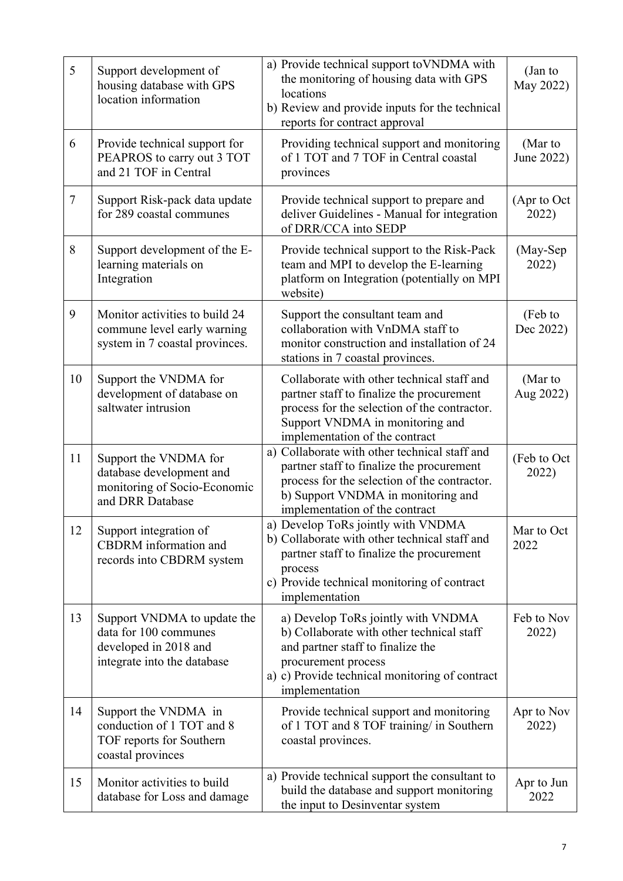| 5      | Support development of<br>housing database with GPS<br>location information                                  | a) Provide technical support to VNDMA with<br>the monitoring of housing data with GPS<br>locations<br>b) Review and provide inputs for the technical<br>reports for contract approval                              | (Jan to<br>May 2022)  |
|--------|--------------------------------------------------------------------------------------------------------------|--------------------------------------------------------------------------------------------------------------------------------------------------------------------------------------------------------------------|-----------------------|
| 6      | Provide technical support for<br>PEAPROS to carry out 3 TOT<br>and 21 TOF in Central                         | Providing technical support and monitoring<br>of 1 TOT and 7 TOF in Central coastal<br>provinces                                                                                                                   | (Mar to<br>June 2022) |
| $\tau$ | Support Risk-pack data update<br>for 289 coastal communes                                                    | Provide technical support to prepare and<br>deliver Guidelines - Manual for integration<br>of DRR/CCA into SEDP                                                                                                    | (Apr to Oct<br>2022)  |
| 8      | Support development of the E-<br>learning materials on<br>Integration                                        | Provide technical support to the Risk-Pack<br>team and MPI to develop the E-learning<br>platform on Integration (potentially on MPI<br>website)                                                                    | (May-Sep<br>2022)     |
| 9      | Monitor activities to build 24<br>commune level early warning<br>system in 7 coastal provinces.              | Support the consultant team and<br>collaboration with VnDMA staff to<br>monitor construction and installation of 24<br>stations in 7 coastal provinces.                                                            | (Feb to<br>Dec 2022)  |
| 10     | Support the VNDMA for<br>development of database on<br>saltwater intrusion                                   | Collaborate with other technical staff and<br>partner staff to finalize the procurement<br>process for the selection of the contractor.<br>Support VNDMA in monitoring and<br>implementation of the contract       | (Mar to<br>Aug 2022)  |
| 11     | Support the VNDMA for<br>database development and<br>monitoring of Socio-Economic<br>and DRR Database        | a) Collaborate with other technical staff and<br>partner staff to finalize the procurement<br>process for the selection of the contractor.<br>b) Support VNDMA in monitoring and<br>implementation of the contract | (Feb to Oct<br>2022)  |
| 12     | Support integration of<br>CBDRM information and<br>records into CBDRM system                                 | a) Develop ToRs jointly with VNDMA<br>b) Collaborate with other technical staff and<br>partner staff to finalize the procurement<br>process<br>c) Provide technical monitoring of contract<br>implementation       | Mar to Oct<br>2022    |
| 13     | Support VNDMA to update the<br>data for 100 communes<br>developed in 2018 and<br>integrate into the database | a) Develop ToRs jointly with VNDMA<br>b) Collaborate with other technical staff<br>and partner staff to finalize the<br>procurement process<br>a) c) Provide technical monitoring of contract<br>implementation    | Feb to Nov<br>2022)   |
| 14     | Support the VNDMA in<br>conduction of 1 TOT and 8<br>TOF reports for Southern<br>coastal provinces           | Provide technical support and monitoring<br>of 1 TOT and 8 TOF training/ in Southern<br>coastal provinces.                                                                                                         | Apr to Nov<br>2022)   |
| 15     | Monitor activities to build<br>database for Loss and damage                                                  | a) Provide technical support the consultant to<br>build the database and support monitoring<br>the input to Desinventar system                                                                                     | Apr to Jun<br>2022    |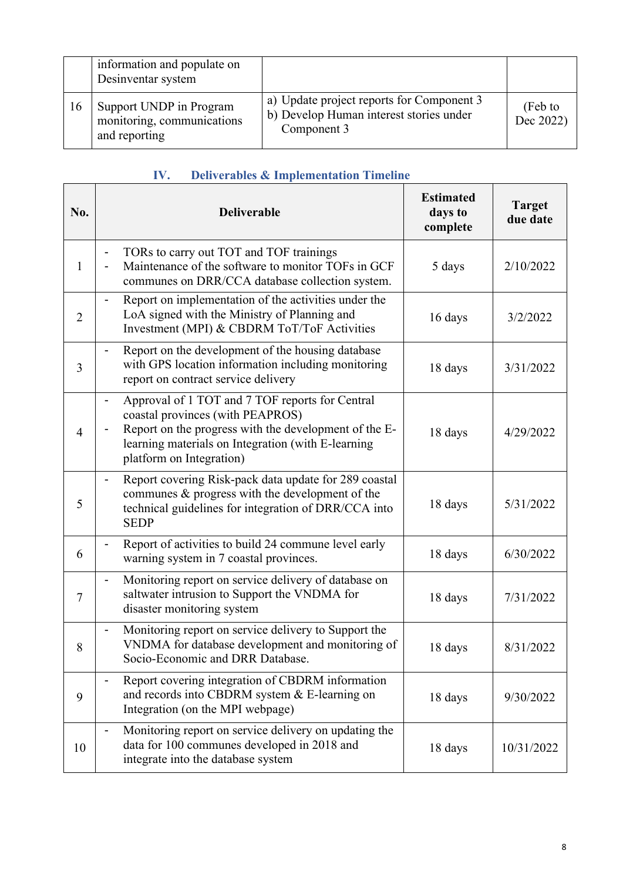|    | information and populate on<br>Desinventar system                      |                                                                                                     |                      |
|----|------------------------------------------------------------------------|-----------------------------------------------------------------------------------------------------|----------------------|
| 16 | Support UNDP in Program<br>monitoring, communications<br>and reporting | a) Update project reports for Component 3<br>b) Develop Human interest stories under<br>Component 3 | (Feb to<br>Dec 2022) |

| IV. |  | <b>Deliverables &amp; Implementation Timeline</b> |  |
|-----|--|---------------------------------------------------|--|
|     |  |                                                   |  |

| No.            | <b>Deliverable</b>                                                                                                                                                                                                                                             | <b>Estimated</b><br>days to<br>complete | <b>Target</b><br>due date |
|----------------|----------------------------------------------------------------------------------------------------------------------------------------------------------------------------------------------------------------------------------------------------------------|-----------------------------------------|---------------------------|
| 1              | TORs to carry out TOT and TOF trainings<br>$\qquad \qquad \blacksquare$<br>Maintenance of the software to monitor TOFs in GCF<br>communes on DRR/CCA database collection system.                                                                               | 5 days                                  | 2/10/2022                 |
| $\overline{2}$ | Report on implementation of the activities under the<br>$\qquad \qquad \blacksquare$<br>LoA signed with the Ministry of Planning and<br>Investment (MPI) & CBDRM ToT/ToF Activities                                                                            | 16 days                                 | 3/2/2022                  |
| 3              | Report on the development of the housing database<br>$\qquad \qquad \blacksquare$<br>with GPS location information including monitoring<br>report on contract service delivery                                                                                 | 18 days                                 | 3/31/2022                 |
| $\overline{4}$ | Approval of 1 TOT and 7 TOF reports for Central<br>$\qquad \qquad \blacksquare$<br>coastal provinces (with PEAPROS)<br>Report on the progress with the development of the E-<br>learning materials on Integration (with E-learning<br>platform on Integration) | 18 days                                 | 4/29/2022                 |
| 5              | Report covering Risk-pack data update for 289 coastal<br>$\qquad \qquad \blacksquare$<br>communes $\&$ progress with the development of the<br>technical guidelines for integration of DRR/CCA into<br><b>SEDP</b>                                             | 18 days                                 | 5/31/2022                 |
| 6              | Report of activities to build 24 commune level early<br>warning system in 7 coastal provinces.                                                                                                                                                                 | 18 days                                 | 6/30/2022                 |
| $\tau$         | Monitoring report on service delivery of database on<br>$\qquad \qquad \blacksquare$<br>saltwater intrusion to Support the VNDMA for<br>disaster monitoring system                                                                                             | 18 days                                 | 7/31/2022                 |
| 8              | Monitoring report on service delivery to Support the<br>$\overline{\phantom{0}}$<br>VNDMA for database development and monitoring of<br>Socio-Economic and DRR Database.                                                                                       | 18 days                                 | 8/31/2022                 |
| 9              | Report covering integration of CBDRM information<br>and records into CBDRM system & E-learning on<br>Integration (on the MPI webpage)                                                                                                                          | 18 days                                 | 9/30/2022                 |
| 10             | Monitoring report on service delivery on updating the<br>$\qquad \qquad \blacksquare$<br>data for 100 communes developed in 2018 and<br>integrate into the database system                                                                                     | 18 days                                 | 10/31/2022                |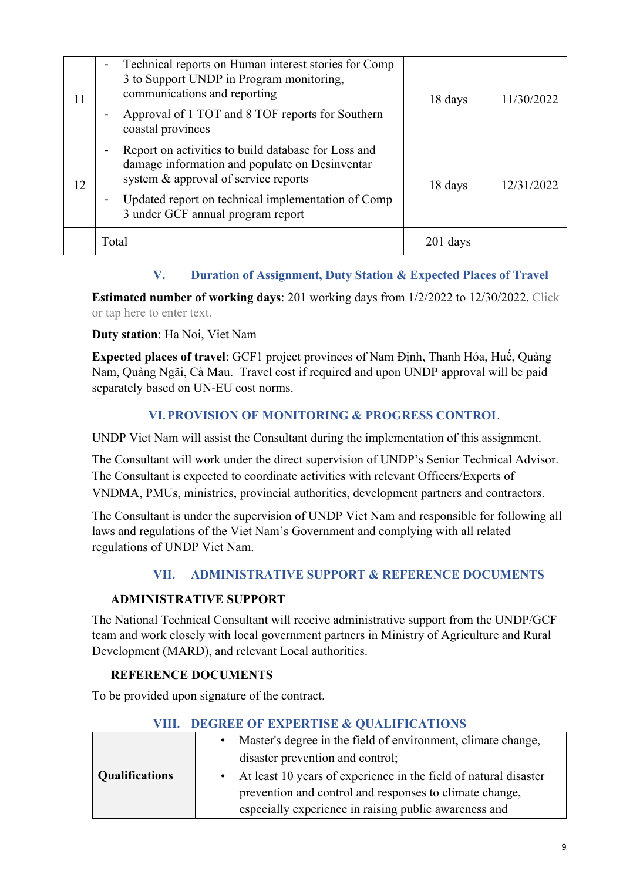| 11 | Technical reports on Human interest stories for Comp<br>3 to Support UNDP in Program monitoring,<br>communications and reporting<br>Approval of 1 TOT and 8 TOF reports for Southern<br>coastal provinces                                     | 18 days  | 11/30/2022 |
|----|-----------------------------------------------------------------------------------------------------------------------------------------------------------------------------------------------------------------------------------------------|----------|------------|
| 12 | Report on activities to build database for Loss and<br>damage information and populate on Desinventar<br>system & approval of service reports<br>Updated report on technical implementation of Comp<br>-<br>3 under GCF annual program report | 18 days  | 12/31/2022 |
|    | Total                                                                                                                                                                                                                                         | 201 days |            |

## **V. Duration of Assignment, Duty Station & Expected Places of Travel**

**Estimated number of working days**: 201 working days from 1/2/2022 to 12/30/2022. Click or tap here to enter text.

## **Duty station**: Ha Noi, Viet Nam

**Expected places of travel**: GCF1 project provinces of Nam Định, Thanh Hóa, Huế, Quảng Nam, Quảng Ngãi, Cà Mau. Travel cost if required and upon UNDP approval will be paid separately based on UN-EU cost norms.

## **VI.PROVISION OF MONITORING & PROGRESS CONTROL**

UNDP Viet Nam will assist the Consultant during the implementation of this assignment.

The Consultant will work under the direct supervision of UNDP's Senior Technical Advisor. The Consultant is expected to coordinate activities with relevant Officers/Experts of VNDMA, PMUs, ministries, provincial authorities, development partners and contractors.

The Consultant is under the supervision of UNDP Viet Nam and responsible for following all laws and regulations of the Viet Nam's Government and complying with all related regulations of UNDP Viet Nam.

## **VII. ADMINISTRATIVE SUPPORT & REFERENCE DOCUMENTS**

#### **ADMINISTRATIVE SUPPORT**

The National Technical Consultant will receive administrative support from the UNDP/GCF team and work closely with local government partners in Ministry of Agriculture and Rural Development (MARD), and relevant Local authorities.

#### **REFERENCE DOCUMENTS**

To be provided upon signature of the contract.

|                       | VIII. DEGREE OF EXPERIISE & OUALIFICATIONS                       |
|-----------------------|------------------------------------------------------------------|
|                       | Master's degree in the field of environment, climate change,     |
|                       | disaster prevention and control;                                 |
| <b>Qualifications</b> | At least 10 years of experience in the field of natural disaster |
|                       | prevention and control and responses to climate change,          |
|                       | especially experience in raising public awareness and            |

## **VIII. DEGREE OF EXPERTISE & QUALIFICATIONS**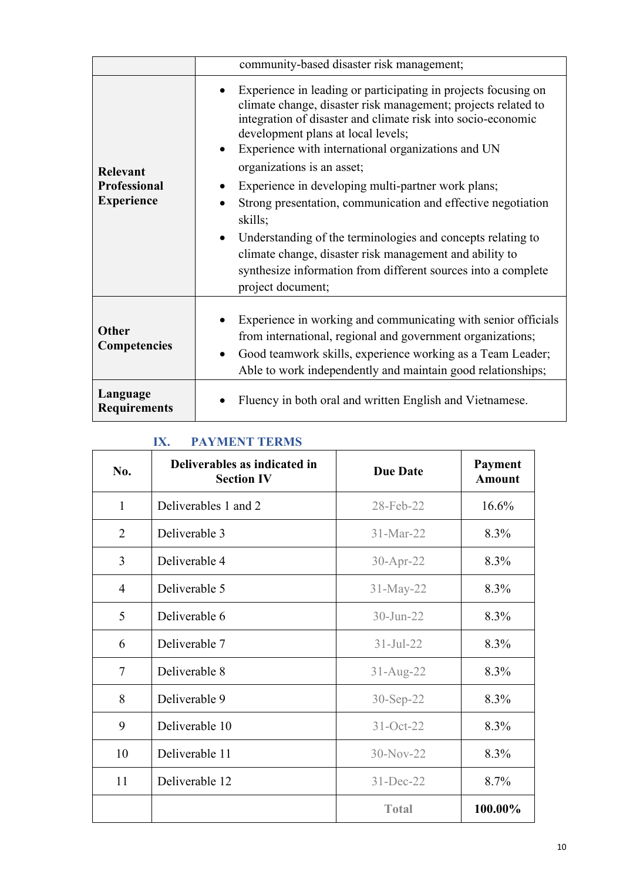|                                                             | community-based disaster risk management;                                                                                                                                                                                                                                                                                                                                                                                                                                                                                                                                                                                                                                                            |
|-------------------------------------------------------------|------------------------------------------------------------------------------------------------------------------------------------------------------------------------------------------------------------------------------------------------------------------------------------------------------------------------------------------------------------------------------------------------------------------------------------------------------------------------------------------------------------------------------------------------------------------------------------------------------------------------------------------------------------------------------------------------------|
| <b>Relevant</b><br><b>Professional</b><br><b>Experience</b> | Experience in leading or participating in projects focusing on<br>climate change, disaster risk management; projects related to<br>integration of disaster and climate risk into socio-economic<br>development plans at local levels;<br>Experience with international organizations and UN<br>$\bullet$<br>organizations is an asset;<br>Experience in developing multi-partner work plans;<br>Strong presentation, communication and effective negotiation<br>skills;<br>Understanding of the terminologies and concepts relating to<br>$\bullet$<br>climate change, disaster risk management and ability to<br>synthesize information from different sources into a complete<br>project document; |
| <b>Other</b><br>Competencies                                | Experience in working and communicating with senior officials<br>from international, regional and government organizations;<br>Good teamwork skills, experience working as a Team Leader;<br>Able to work independently and maintain good relationships;                                                                                                                                                                                                                                                                                                                                                                                                                                             |
| Language<br><b>Requirements</b>                             | Fluency in both oral and written English and Vietnamese.                                                                                                                                                                                                                                                                                                                                                                                                                                                                                                                                                                                                                                             |

## **IX. PAYMENT TERMS**

| No.            | Deliverables as indicated in<br><b>Section IV</b> | <b>Due Date</b> | Payment<br><b>Amount</b> |
|----------------|---------------------------------------------------|-----------------|--------------------------|
| 1              | Deliverables 1 and 2                              | 28-Feb-22       | 16.6%                    |
| $\overline{2}$ | Deliverable 3                                     | 31-Mar-22       | 8.3%                     |
| $\overline{3}$ | Deliverable 4                                     | 30-Apr-22       | 8.3%                     |
| $\overline{4}$ | Deliverable 5                                     | 31-May-22       | 8.3%                     |
| 5              | Deliverable 6                                     | $30 - Jun - 22$ | 8.3%                     |
| 6              | Deliverable 7                                     | $31 -$ Jul-22   | 8.3%                     |
| $\overline{7}$ | Deliverable 8                                     | $31-Aug-22$     | 8.3%                     |
| 8              | Deliverable 9                                     | 30-Sep-22       | 8.3%                     |
| 9              | Deliverable 10                                    | 31-Oct-22       | 8.3%                     |
| 10             | Deliverable 11                                    | $30-Nov-22$     | 8.3%                     |
| 11             | Deliverable 12                                    | 31-Dec-22       | 8.7%                     |
|                |                                                   | <b>Total</b>    | 100.00%                  |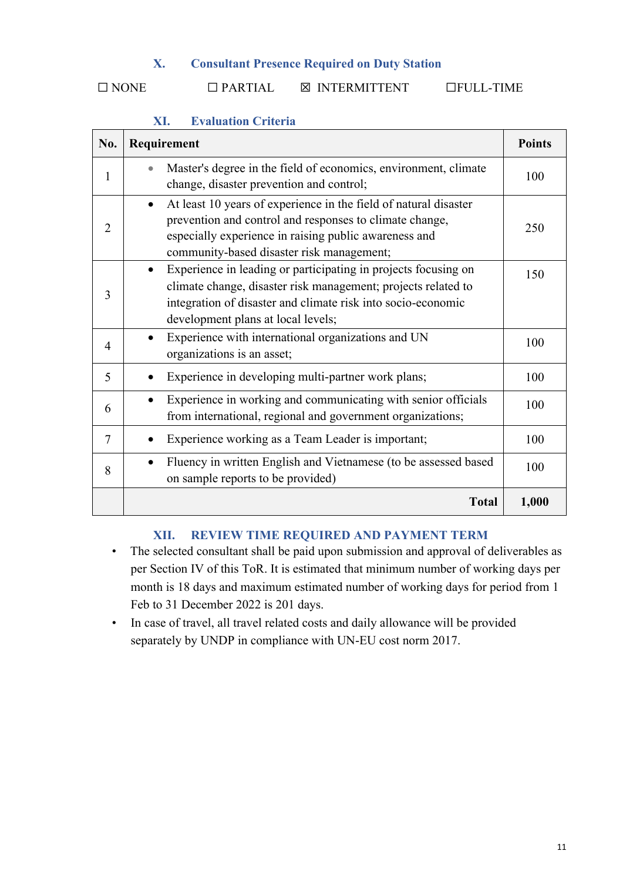#### **X. Consultant Presence Required on Duty Station**

☐ NONE ☐ PARTIAL ☒ INTERMITTENT ☐FULL-TIME

| No.            | Requirement                                                                                                                                                                                                                                        |       |
|----------------|----------------------------------------------------------------------------------------------------------------------------------------------------------------------------------------------------------------------------------------------------|-------|
| 1              | Master's degree in the field of economics, environment, climate<br>change, disaster prevention and control;                                                                                                                                        | 100   |
| 2              | At least 10 years of experience in the field of natural disaster<br>$\bullet$<br>prevention and control and responses to climate change,<br>especially experience in raising public awareness and<br>community-based disaster risk management;     | 250   |
| 3              | Experience in leading or participating in projects focusing on<br>$\bullet$<br>climate change, disaster risk management; projects related to<br>integration of disaster and climate risk into socio-economic<br>development plans at local levels; | 150   |
| $\overline{4}$ | Experience with international organizations and UN<br>organizations is an asset;                                                                                                                                                                   | 100   |
| 5              | Experience in developing multi-partner work plans;                                                                                                                                                                                                 | 100   |
| 6              | Experience in working and communicating with senior officials<br>from international, regional and government organizations;                                                                                                                        | 100   |
| 7              | Experience working as a Team Leader is important;                                                                                                                                                                                                  | 100   |
| 8              | Fluency in written English and Vietnamese (to be assessed based<br>on sample reports to be provided)                                                                                                                                               | 100   |
|                | <b>Total</b>                                                                                                                                                                                                                                       | 1,000 |

## **XI. Evaluation Criteria**

## **XII. REVIEW TIME REQUIRED AND PAYMENT TERM**

- The selected consultant shall be paid upon submission and approval of deliverables as per Section IV of this ToR. It is estimated that minimum number of working days per month is 18 days and maximum estimated number of working days for period from 1 Feb to 31 December 2022 is 201 days.
- In case of travel, all travel related costs and daily allowance will be provided separately by UNDP in compliance with UN-EU cost norm 2017.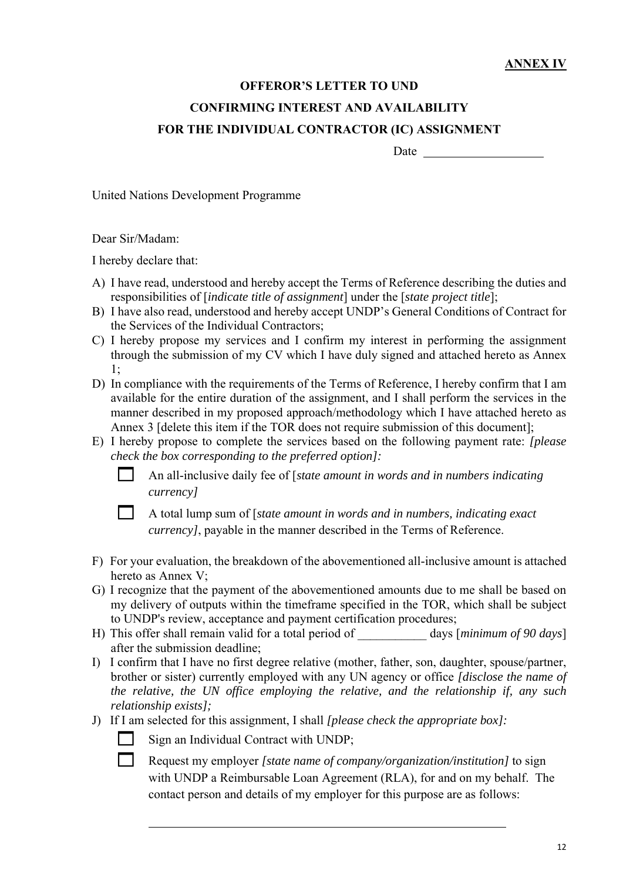# **OFFEROR'S LETTER TO UND CONFIRMING INTEREST AND AVAILABILITY FOR THE INDIVIDUAL CONTRACTOR (IC) ASSIGNMENT**

Date and the state of the state of the state of the state of the state of the state of the state of the state of the state of the state of the state of the state of the state of the state of the state of the state of the s

United Nations Development Programme

Dear Sir/Madam:

I hereby declare that:

- A) I have read, understood and hereby accept the Terms of Reference describing the duties and responsibilities of [*indicate title of assignment*] under the [*state project title*];
- B) I have also read, understood and hereby accept UNDP's General Conditions of Contract for the Services of the Individual Contractors;
- C) I hereby propose my services and I confirm my interest in performing the assignment through the submission of my CV which I have duly signed and attached hereto as Annex 1;
- D) In compliance with the requirements of the Terms of Reference, I hereby confirm that I am available for the entire duration of the assignment, and I shall perform the services in the manner described in my proposed approach/methodology which I have attached hereto as Annex 3 [delete this item if the TOR does not require submission of this document];
- E) I hereby propose to complete the services based on the following payment rate: *[please check the box corresponding to the preferred option]:*

 An all-inclusive daily fee of [*state amount in words and in numbers indicating currency]*



 A total lump sum of [*state amount in words and in numbers, indicating exact currency]*, payable in the manner described in the Terms of Reference.

- F) For your evaluation, the breakdown of the abovementioned all-inclusive amount is attached hereto as Annex V;
- G) I recognize that the payment of the abovementioned amounts due to me shall be based on my delivery of outputs within the timeframe specified in the TOR, which shall be subject to UNDP's review, acceptance and payment certification procedures;
- H) This offer shall remain valid for a total period of \_\_\_\_\_\_\_\_\_\_\_ days [*minimum of 90 days*] after the submission deadline;
- I) I confirm that I have no first degree relative (mother, father, son, daughter, spouse/partner, brother or sister) currently employed with any UN agency or office *[disclose the name of the relative, the UN office employing the relative, and the relationship if, any such relationship exists];*
- J) If I am selected for this assignment, I shall *[please check the appropriate box]:*



Sign an Individual Contract with UNDP;

 Request my employer *[state name of company/organization/institution]* to sign with UNDP a Reimbursable Loan Agreement (RLA), for and on my behalf. The contact person and details of my employer for this purpose are as follows: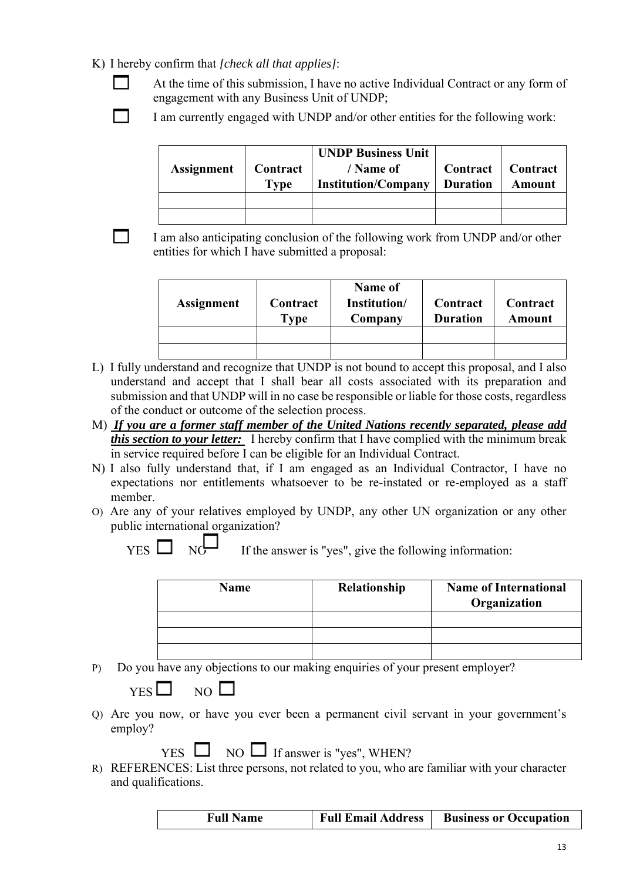#### K) I hereby confirm that *[check all that applies]*:

- At the time of this submission, I have no active Individual Contract or any form of engagement with any Business Unit of UNDP;
- I am currently engaged with UNDP and/or other entities for the following work:

| Assignment | $\vert$ Contract $\vert$<br><b>Type</b> | <b>UNDP Business Unit</b><br>/ Name of<br><b>Institution/Company</b> | Contract   Contract<br><b>Duration</b> | <b>Amount</b> |
|------------|-----------------------------------------|----------------------------------------------------------------------|----------------------------------------|---------------|
|            |                                         |                                                                      |                                        |               |
|            |                                         |                                                                      |                                        |               |

 I am also anticipating conclusion of the following work from UNDP and/or other entities for which I have submitted a proposal:

| Assignment | Contract<br><b>Type</b> | Name of<br>Institution/<br>Company | Contract<br><b>Duration</b> | Contract<br>Amount |
|------------|-------------------------|------------------------------------|-----------------------------|--------------------|
|            |                         |                                    |                             |                    |
|            |                         |                                    |                             |                    |

- L) I fully understand and recognize that UNDP is not bound to accept this proposal, and I also understand and accept that I shall bear all costs associated with its preparation and submission and that UNDP will in no case be responsible or liable for those costs, regardless of the conduct or outcome of the selection process.
- M) *If you are a former staff member of the United Nations recently separated, please add this section to your letter:* I hereby confirm that I have complied with the minimum break in service required before I can be eligible for an Individual Contract.
- N) I also fully understand that, if I am engaged as an Individual Contractor, I have no expectations nor entitlements whatsoever to be re-instated or re-employed as a staff member.
- O) Are any of your relatives employed by UNDP, any other UN organization or any other public international organization?

| If the answer is |
|------------------|
|                  |

 $\overline{\phantom{0}}$ 

s "yes", give the following information:

| <b>Name</b> | Relationship | <b>Name of International</b><br>Organization |
|-------------|--------------|----------------------------------------------|
|             |              |                                              |
|             |              |                                              |
|             |              |                                              |

P) Do you have any objections to our making enquiries of your present employer?

| vт<br>77.A<br>г | N |
|-----------------|---|
|-----------------|---|

Q) Are you now, or have you ever been a permanent civil servant in your government's employ?

 $YES \Box NO \Box If answer is "yes". WHERE?$ 

R) REFERENCES: List three persons, not related to you, who are familiar with your character and qualifications.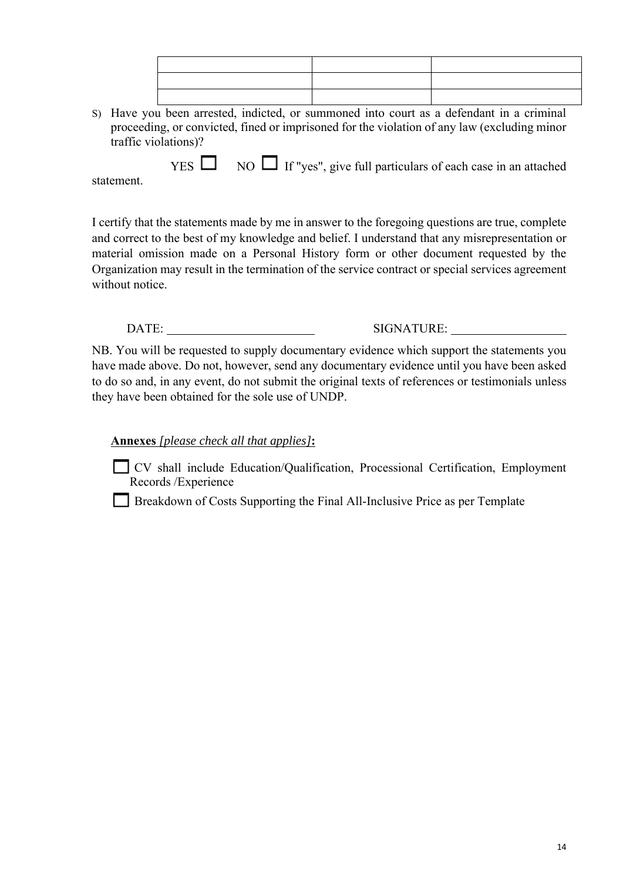S) Have you been arrested, indicted, or summoned into court as a defendant in a criminal proceeding, or convicted, fined or imprisoned for the violation of any law (excluding minor traffic violations)?

 $YES$  NO If "yes", give full particulars of each case in an attached

statement.

I certify that the statements made by me in answer to the foregoing questions are true, complete and correct to the best of my knowledge and belief. I understand that any misrepresentation or material omission made on a Personal History form or other document requested by the Organization may result in the termination of the service contract or special services agreement without notice.

DATE: SIGNATURE:

NB. You will be requested to supply documentary evidence which support the statements you have made above. Do not, however, send any documentary evidence until you have been asked to do so and, in any event, do not submit the original texts of references or testimonials unless they have been obtained for the sole use of UNDP.

**Annexes** *[please check all that applies]***:**

CV shall include Education/Qualification, Processional Certification, Employment Records /Experience

Breakdown of Costs Supporting the Final All-Inclusive Price as per Template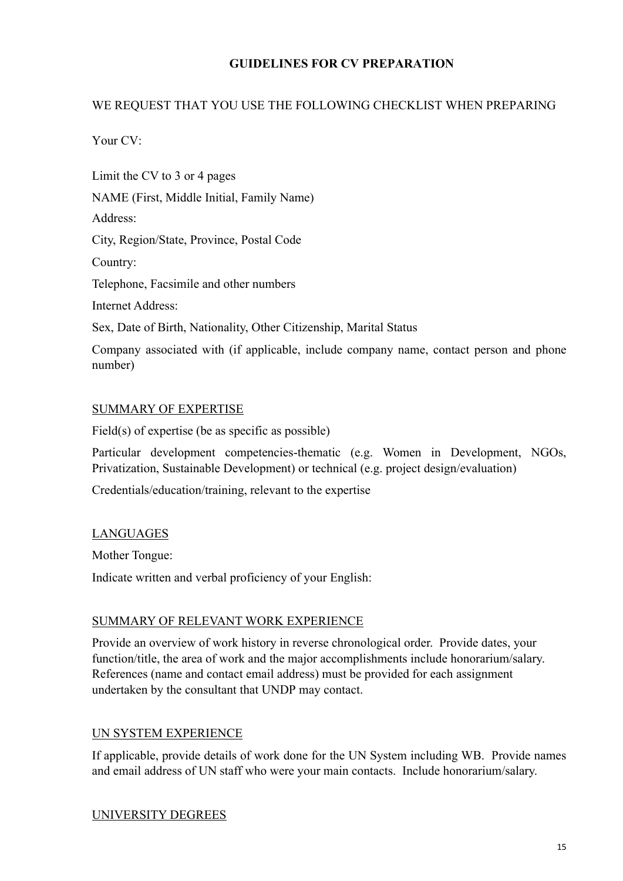## **GUIDELINES FOR CV PREPARATION**

## WE REQUEST THAT YOU USE THE FOLLOWING CHECKLIST WHEN PREPARING

Your CV:

number)

Limit the CV to 3 or 4 pages NAME (First, Middle Initial, Family Name) Address: City, Region/State, Province, Postal Code Country: Telephone, Facsimile and other numbers Internet Address: Sex, Date of Birth, Nationality, Other Citizenship, Marital Status Company associated with (if applicable, include company name, contact person and phone

#### SUMMARY OF EXPERTISE

Field(s) of expertise (be as specific as possible)

Particular development competencies-thematic (e.g. Women in Development, NGOs, Privatization, Sustainable Development) or technical (e.g. project design/evaluation)

Credentials/education/training, relevant to the expertise

#### LANGUAGES

Mother Tongue:

Indicate written and verbal proficiency of your English:

#### SUMMARY OF RELEVANT WORK EXPERIENCE

Provide an overview of work history in reverse chronological order. Provide dates, your function/title, the area of work and the major accomplishments include honorarium/salary. References (name and contact email address) must be provided for each assignment undertaken by the consultant that UNDP may contact.

#### UN SYSTEM EXPERIENCE

If applicable, provide details of work done for the UN System including WB. Provide names and email address of UN staff who were your main contacts. Include honorarium/salary.

#### UNIVERSITY DEGREES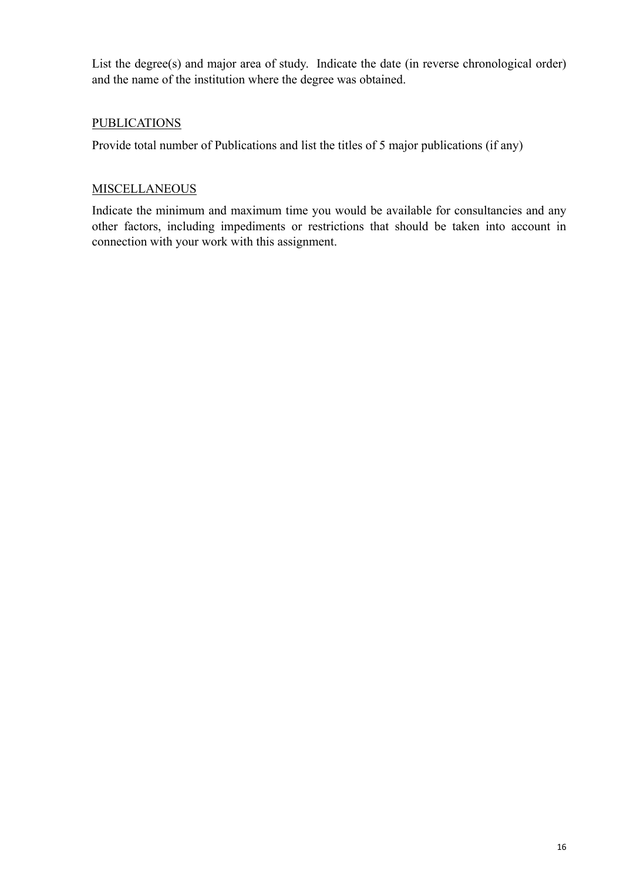List the degree(s) and major area of study. Indicate the date (in reverse chronological order) and the name of the institution where the degree was obtained.

## **PUBLICATIONS**

Provide total number of Publications and list the titles of 5 major publications (if any)

#### **MISCELLANEOUS**

Indicate the minimum and maximum time you would be available for consultancies and any other factors, including impediments or restrictions that should be taken into account in connection with your work with this assignment.